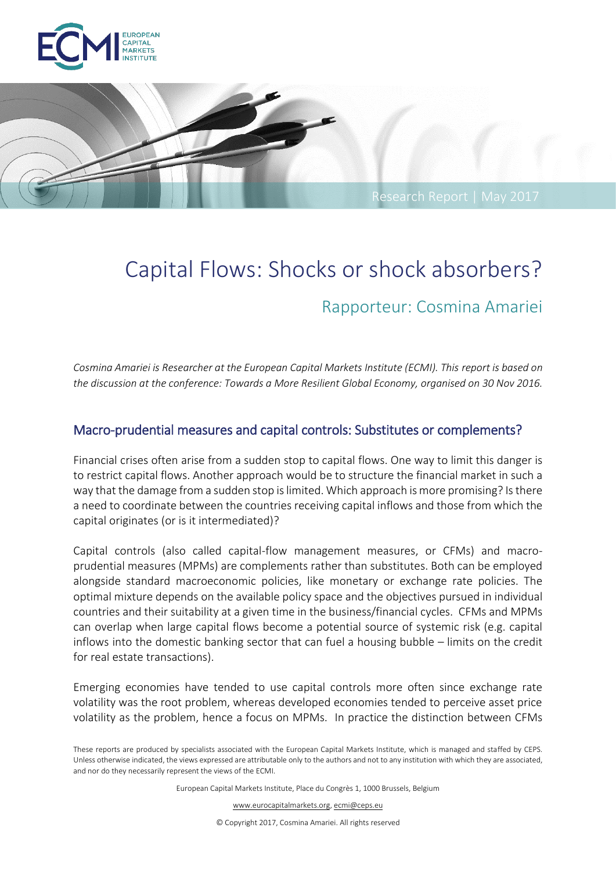



# Capital Flows: Shocks or shock absorbers? Rapporteur: Cosmina Amariei

*Cosmina Amariei is Researcher at the European Capital Markets Institute (ECMI). This report is based on the discussion at the conference: Towards a More Resilient Global Economy, organised on 30 Nov 2016.*

#### Macro-prudential measures and capital controls: Substitutes or complements?

Financial crises often arise from a sudden stop to capital flows. One way to limit this danger is to restrict capital flows. Another approach would be to structure the financial market in such a way that the damage from a sudden stop is limited. Which approach is more promising? Is there a need to coordinate between the countries receiving capital inflows and those from which the capital originates (or is it intermediated)?

Capital controls (also called capital-flow management measures, or CFMs) and macroprudential measures (MPMs) are complements rather than substitutes. Both can be employed alongside standard macroeconomic policies, like monetary or exchange rate policies. The optimal mixture depends on the available policy space and the objectives pursued in individual countries and their suitability at a given time in the business/financial cycles. CFMs and MPMs can overlap when large capital flows become a potential source of systemic risk (e.g. capital inflows into the domestic banking sector that can fuel a housing bubble – limits on the credit for real estate transactions).

Emerging economies have tended to use capital controls more often since exchange rate volatility was the root problem, whereas developed economies tended to perceive asset price volatility as the problem, hence a focus on MPMs. In practice the distinction between CFMs

European Capital Markets Institute, Place du Congrès 1, 1000 Brussels, Belgium

www.eurocapitalmarkets.org, ecmi@ceps.eu

© Copyright 2017, Cosmina Amariei. All rights reserved

These reports are produced by specialists associated with the European Capital Markets Institute, which is managed and staffed by CEPS. Unless otherwise indicated, the views expressed are attributable only to the authors and not to any institution with which they are associated, and nor do they necessarily represent the views of the ECMI.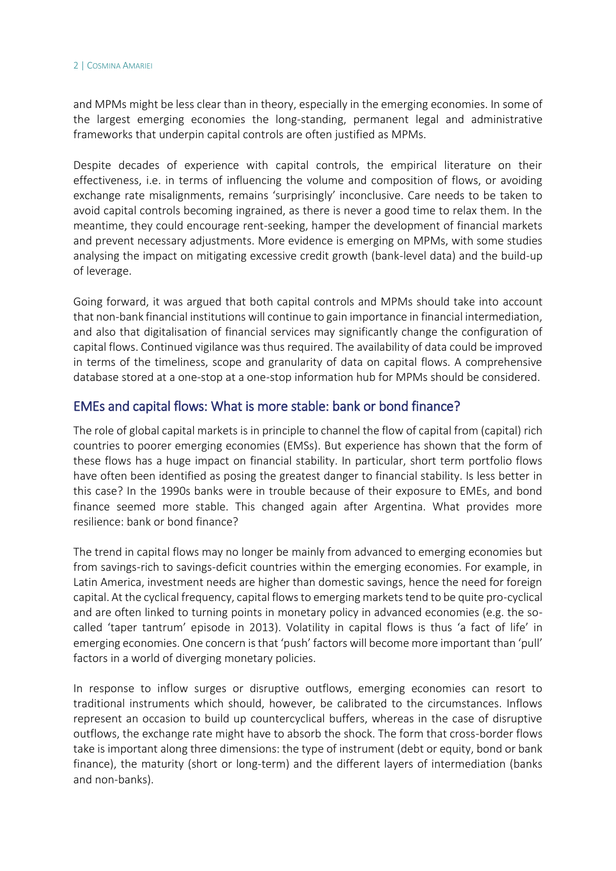#### 2 | COSMINA AMARIEI

and MPMs might be less clear than in theory, especially in the emerging economies. In some of the largest emerging economies the long-standing, permanent legal and administrative frameworks that underpin capital controls are often justified as MPMs.

Despite decades of experience with capital controls, the empirical literature on their effectiveness, i.e. in terms of influencing the volume and composition of flows, or avoiding exchange rate misalignments, remains 'surprisingly' inconclusive. Care needs to be taken to avoid capital controls becoming ingrained, as there is never a good time to relax them. In the meantime, they could encourage rent-seeking, hamper the development of financial markets and prevent necessary adjustments. More evidence is emerging on MPMs, with some studies analysing the impact on mitigating excessive credit growth (bank-level data) and the build-up of leverage.

Going forward, it was argued that both capital controls and MPMs should take into account that non-bank financial institutions will continue to gain importance in financial intermediation, and also that digitalisation of financial services may significantly change the configuration of capital flows. Continued vigilance was thus required. The availability of data could be improved in terms of the timeliness, scope and granularity of data on capital flows. A comprehensive database stored at a one-stop at a one-stop information hub for MPMs should be considered.

#### EMEs and capital flows: What is more stable: bank or bond finance?

The role of global capital markets is in principle to channel the flow of capital from (capital) rich countries to poorer emerging economies (EMSs). But experience has shown that the form of these flows has a huge impact on financial stability. In particular, short term portfolio flows have often been identified as posing the greatest danger to financial stability. Is less better in this case? In the 1990s banks were in trouble because of their exposure to EMEs, and bond finance seemed more stable. This changed again after Argentina. What provides more resilience: bank or bond finance?

The trend in capital flows may no longer be mainly from advanced to emerging economies but from savings-rich to savings-deficit countries within the emerging economies. For example, in Latin America, investment needs are higher than domestic savings, hence the need for foreign capital. At the cyclical frequency, capital flows to emerging markets tend to be quite pro-cyclical and are often linked to turning points in monetary policy in advanced economies (e.g. the socalled 'taper tantrum' episode in 2013). Volatility in capital flows is thus 'a fact of life' in emerging economies. One concern is that 'push' factors will become more important than 'pull' factors in a world of diverging monetary policies.

In response to inflow surges or disruptive outflows, emerging economies can resort to traditional instruments which should, however, be calibrated to the circumstances. Inflows represent an occasion to build up countercyclical buffers, whereas in the case of disruptive outflows, the exchange rate might have to absorb the shock. The form that cross-border flows take is important along three dimensions: the type of instrument (debt or equity, bond or bank finance), the maturity (short or long-term) and the different layers of intermediation (banks and non-banks).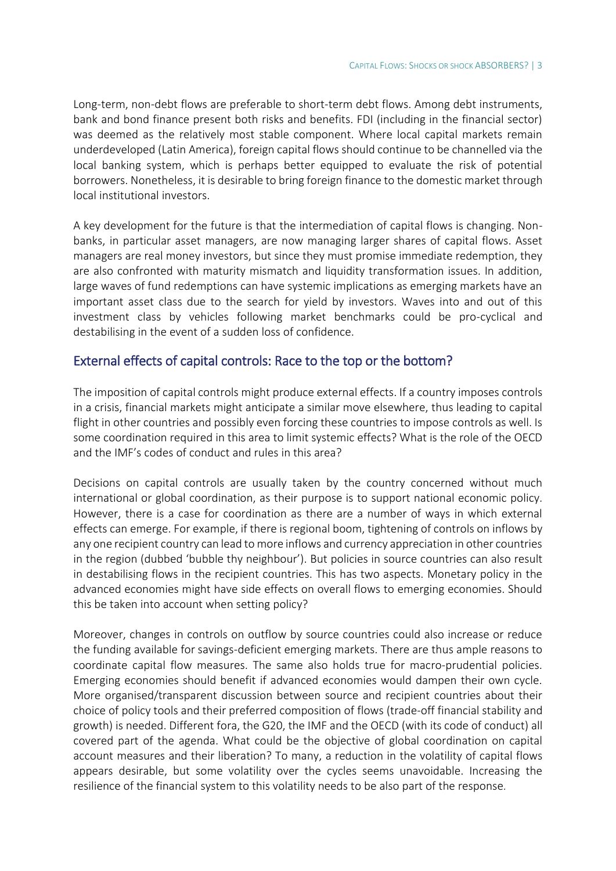Long-term, non-debt flows are preferable to short-term debt flows. Among debt instruments, bank and bond finance present both risks and benefits. FDI (including in the financial sector) was deemed as the relatively most stable component. Where local capital markets remain underdeveloped (Latin America), foreign capital flows should continue to be channelled via the local banking system, which is perhaps better equipped to evaluate the risk of potential borrowers. Nonetheless, it is desirable to bring foreign finance to the domestic market through local institutional investors.

A key development for the future is that the intermediation of capital flows is changing. Nonbanks, in particular asset managers, are now managing larger shares of capital flows. Asset managers are real money investors, but since they must promise immediate redemption, they are also confronted with maturity mismatch and liquidity transformation issues. In addition, large waves of fund redemptions can have systemic implications as emerging markets have an important asset class due to the search for yield by investors. Waves into and out of this investment class by vehicles following market benchmarks could be pro-cyclical and destabilising in the event of a sudden loss of confidence.

#### External effects of capital controls: Race to the top or the bottom?

The imposition of capital controls might produce external effects. If a country imposes controls in a crisis, financial markets might anticipate a similar move elsewhere, thus leading to capital flight in other countries and possibly even forcing these countries to impose controls as well. Is some coordination required in this area to limit systemic effects? What is the role of the OECD and the IMF's codes of conduct and rules in this area?

Decisions on capital controls are usually taken by the country concerned without much international or global coordination, as their purpose is to support national economic policy. However, there is a case for coordination as there are a number of ways in which external effects can emerge. For example, if there is regional boom, tightening of controls on inflows by any one recipient country can lead to more inflows and currency appreciation in other countries in the region (dubbed 'bubble thy neighbour'). But policies in source countries can also result in destabilising flows in the recipient countries. This has two aspects. Monetary policy in the advanced economies might have side effects on overall flows to emerging economies. Should this be taken into account when setting policy?

Moreover, changes in controls on outflow by source countries could also increase or reduce the funding available for savings-deficient emerging markets. There are thus ample reasons to coordinate capital flow measures. The same also holds true for macro-prudential policies. Emerging economies should benefit if advanced economies would dampen their own cycle. More organised/transparent discussion between source and recipient countries about their choice of policy tools and their preferred composition of flows (trade-off financial stability and growth) is needed. Different fora, the G20, the IMF and the OECD (with its code of conduct) all covered part of the agenda. What could be the objective of global coordination on capital account measures and their liberation? To many, a reduction in the volatility of capital flows appears desirable, but some volatility over the cycles seems unavoidable. Increasing the resilience of the financial system to this volatility needs to be also part of the response*.*